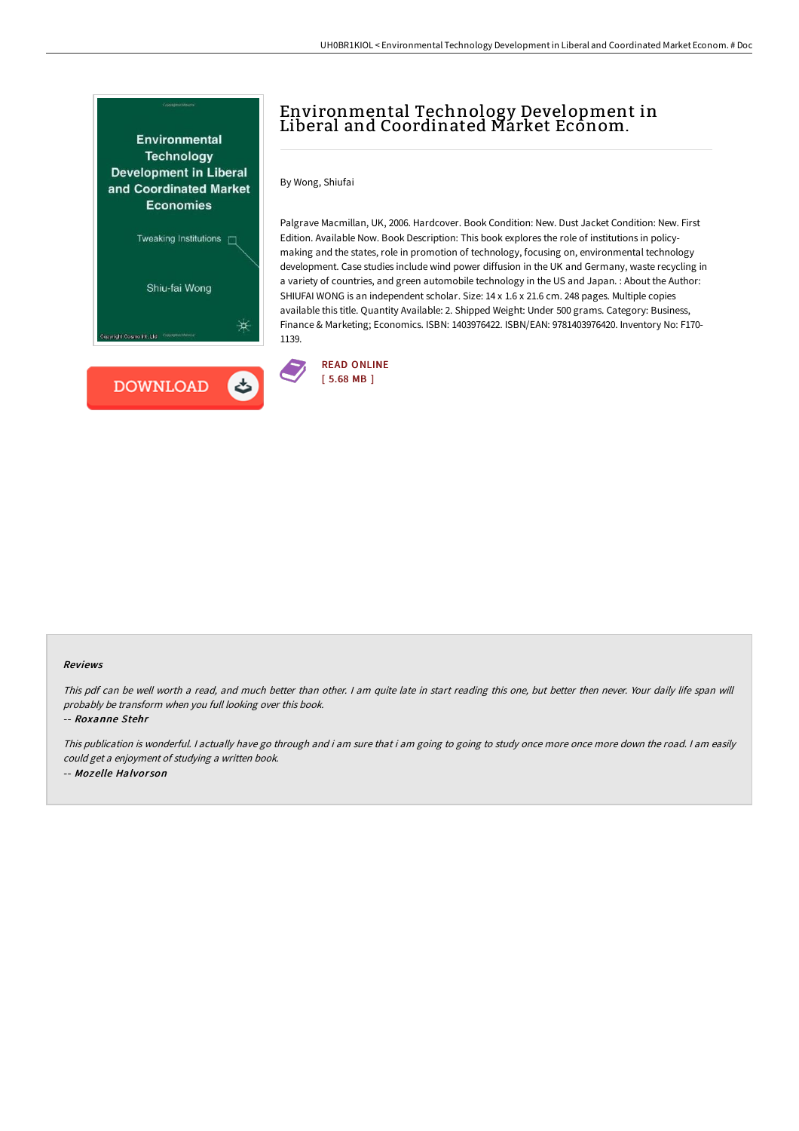

# Environmental Technology Development in Liberal and Coordinated Market Econom.

By Wong, Shiufai

Palgrave Macmillan, UK, 2006. Hardcover. Book Condition: New. Dust Jacket Condition: New. First Edition. Available Now. Book Description: This book explores the role of institutions in policymaking and the states, role in promotion of technology, focusing on, environmental technology development. Case studies include wind power diffusion in the UK and Germany, waste recycling in a variety of countries, and green automobile technology in the US and Japan. : About the Author: SHIUFAI WONG is an independent scholar. Size: 14 x 1.6 x 21.6 cm. 248 pages. Multiple copies available this title. Quantity Available: 2. Shipped Weight: Under 500 grams. Category: Business, Finance & Marketing; Economics. ISBN: 1403976422. ISBN/EAN: 9781403976420. Inventory No: F170- 1139.



#### Reviews

This pdf can be well worth <sup>a</sup> read, and much better than other. <sup>I</sup> am quite late in start reading this one, but better then never. Your daily life span will probably be transform when you full looking over this book.

-- Roxanne Stehr

This publication is wonderful. <sup>I</sup> actually have go through and i am sure that i am going to going to study once more once more down the road. <sup>I</sup> am easily could get <sup>a</sup> enjoyment of studying <sup>a</sup> written book. -- Mozelle Halvor son